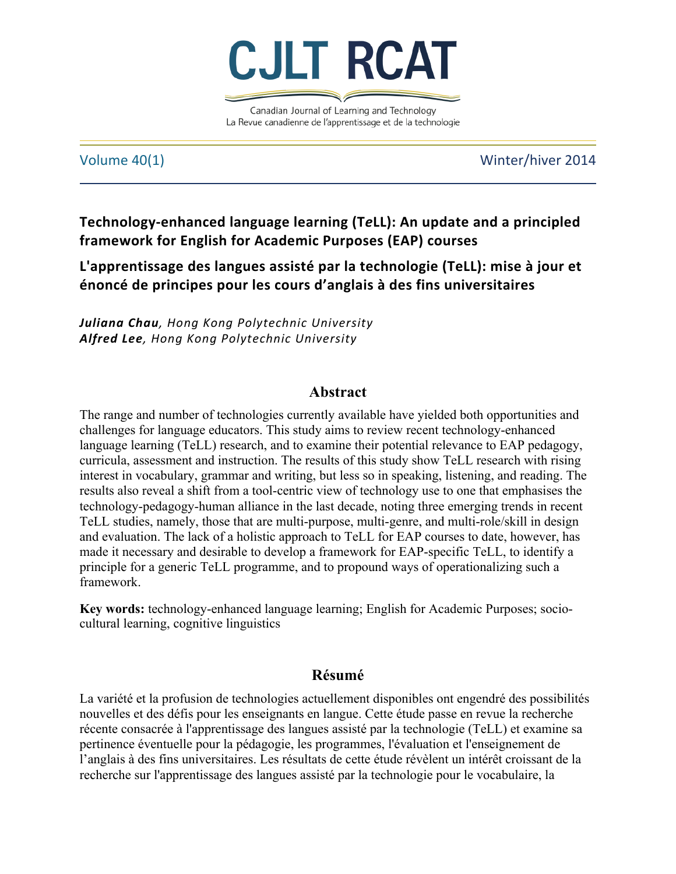

Canadian Journal of Learning and Technology La Revue canadienne de l'apprentissage et de la technologie

Volume 40(1) Volume 40(1)

**Technology-enhanced language learning (TeLL): An update and a principled framework for English for Academic Purposes (EAP) courses**

L'apprentissage des langues assisté par la technologie (TeLL): mise à jour et **énoncé de principes pour les cours d'anglais à des fins universitaires**

*Juliana Chau, Hong Kong Polytechnic University Alfred Lee, Hong Kong Polytechnic University*

# **Abstract**

The range and number of technologies currently available have yielded both opportunities and challenges for language educators. This study aims to review recent technology-enhanced language learning (TeLL) research, and to examine their potential relevance to EAP pedagogy, curricula, assessment and instruction. The results of this study show TeLL research with rising interest in vocabulary, grammar and writing, but less so in speaking, listening, and reading. The results also reveal a shift from a tool-centric view of technology use to one that emphasises the technology-pedagogy-human alliance in the last decade, noting three emerging trends in recent TeLL studies, namely, those that are multi-purpose, multi-genre, and multi-role/skill in design and evaluation. The lack of a holistic approach to TeLL for EAP courses to date, however, has made it necessary and desirable to develop a framework for EAP-specific TeLL, to identify a principle for a generic TeLL programme, and to propound ways of operationalizing such a framework.

**Key words:** technology-enhanced language learning; English for Academic Purposes; sociocultural learning, cognitive linguistics

# **Résumé**

La variété et la profusion de technologies actuellement disponibles ont engendré des possibilités nouvelles et des défis pour les enseignants en langue. Cette étude passe en revue la recherche récente consacrée à l'apprentissage des langues assisté par la technologie (TeLL) et examine sa pertinence éventuelle pour la pédagogie, les programmes, l'évaluation et l'enseignement de l'anglais à des fins universitaires. Les résultats de cette étude révèlent un intérêt croissant de la recherche sur l'apprentissage des langues assisté par la technologie pour le vocabulaire, la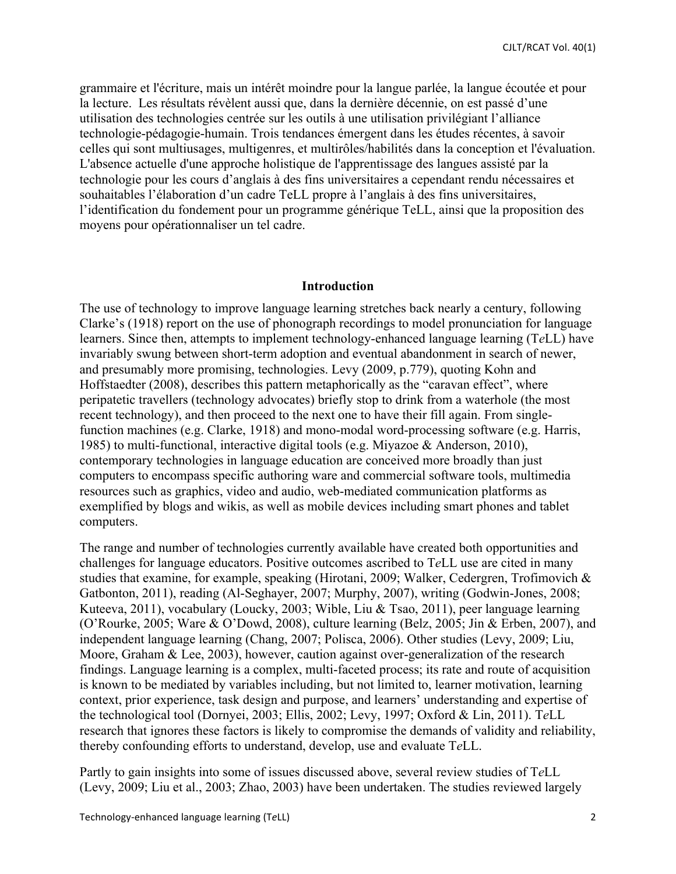grammaire et l'écriture, mais un intérêt moindre pour la langue parlée, la langue écoutée et pour la lecture. Les résultats révèlent aussi que, dans la dernière décennie, on est passé d'une utilisation des technologies centrée sur les outils à une utilisation privilégiant l'alliance technologie-pédagogie-humain. Trois tendances émergent dans les études récentes, à savoir celles qui sont multiusages, multigenres, et multirôles/habilités dans la conception et l'évaluation. L'absence actuelle d'une approche holistique de l'apprentissage des langues assisté par la technologie pour les cours d'anglais à des fins universitaires a cependant rendu nécessaires et souhaitables l'élaboration d'un cadre TeLL propre à l'anglais à des fins universitaires, l'identification du fondement pour un programme générique TeLL, ainsi que la proposition des moyens pour opérationnaliser un tel cadre.

### **Introduction**

The use of technology to improve language learning stretches back nearly a century, following Clarke's (1918) report on the use of phonograph recordings to model pronunciation for language learners. Since then, attempts to implement technology-enhanced language learning (T*e*LL) have invariably swung between short-term adoption and eventual abandonment in search of newer, and presumably more promising, technologies. Levy (2009, p.779), quoting Kohn and Hoffstaedter (2008), describes this pattern metaphorically as the "caravan effect", where peripatetic travellers (technology advocates) briefly stop to drink from a waterhole (the most recent technology), and then proceed to the next one to have their fill again. From singlefunction machines (e.g. Clarke, 1918) and mono-modal word-processing software (e.g. Harris, 1985) to multi-functional, interactive digital tools (e.g. Miyazoe & Anderson, 2010), contemporary technologies in language education are conceived more broadly than just computers to encompass specific authoring ware and commercial software tools, multimedia resources such as graphics, video and audio, web-mediated communication platforms as exemplified by blogs and wikis, as well as mobile devices including smart phones and tablet computers.

The range and number of technologies currently available have created both opportunities and challenges for language educators. Positive outcomes ascribed to T*e*LL use are cited in many studies that examine, for example, speaking (Hirotani, 2009; Walker, Cedergren, Trofimovich & Gatbonton, 2011), reading (Al-Seghayer, 2007; Murphy, 2007), writing (Godwin-Jones, 2008; Kuteeva, 2011), vocabulary (Loucky, 2003; Wible, Liu & Tsao, 2011), peer language learning (O'Rourke, 2005; Ware & O'Dowd, 2008), culture learning (Belz, 2005; Jin & Erben, 2007), and independent language learning (Chang, 2007; Polisca, 2006). Other studies (Levy, 2009; Liu, Moore, Graham & Lee, 2003), however, caution against over-generalization of the research findings. Language learning is a complex, multi-faceted process; its rate and route of acquisition is known to be mediated by variables including, but not limited to, learner motivation, learning context, prior experience, task design and purpose, and learners' understanding and expertise of the technological tool (Dornyei, 2003; Ellis, 2002; Levy, 1997; Oxford & Lin, 2011). T*e*LL research that ignores these factors is likely to compromise the demands of validity and reliability, thereby confounding efforts to understand, develop, use and evaluate T*e*LL.

Partly to gain insights into some of issues discussed above, several review studies of T*e*LL (Levy, 2009; Liu et al., 2003; Zhao, 2003) have been undertaken. The studies reviewed largely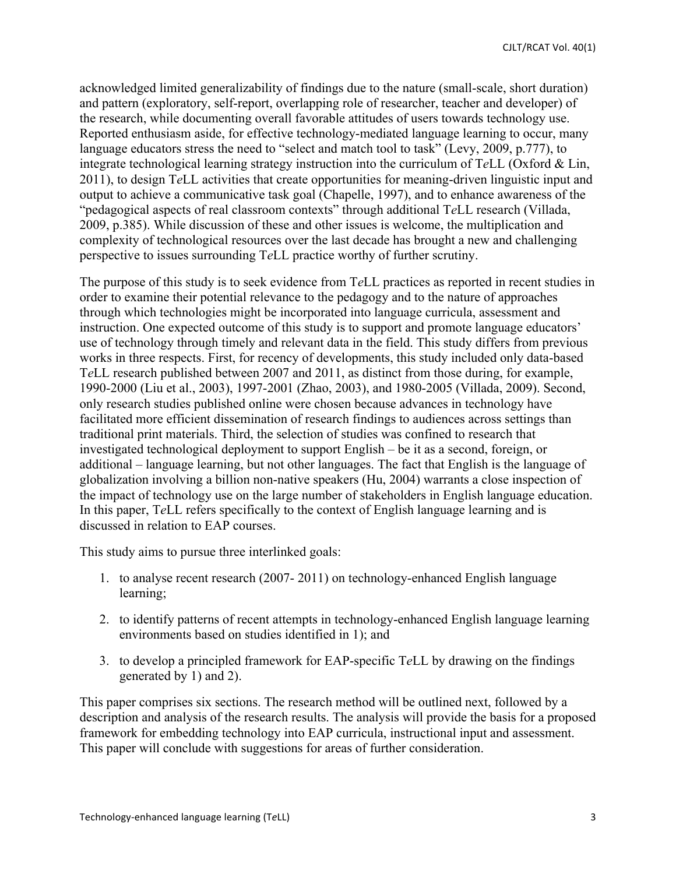acknowledged limited generalizability of findings due to the nature (small-scale, short duration) and pattern (exploratory, self-report, overlapping role of researcher, teacher and developer) of the research, while documenting overall favorable attitudes of users towards technology use. Reported enthusiasm aside, for effective technology-mediated language learning to occur, many language educators stress the need to "select and match tool to task" (Levy, 2009, p.777), to integrate technological learning strategy instruction into the curriculum of T*e*LL (Oxford & Lin, 2011), to design T*e*LL activities that create opportunities for meaning-driven linguistic input and output to achieve a communicative task goal (Chapelle, 1997), and to enhance awareness of the "pedagogical aspects of real classroom contexts" through additional T*e*LL research (Villada, 2009, p.385). While discussion of these and other issues is welcome, the multiplication and complexity of technological resources over the last decade has brought a new and challenging perspective to issues surrounding T*e*LL practice worthy of further scrutiny.

The purpose of this study is to seek evidence from T*e*LL practices as reported in recent studies in order to examine their potential relevance to the pedagogy and to the nature of approaches through which technologies might be incorporated into language curricula, assessment and instruction. One expected outcome of this study is to support and promote language educators' use of technology through timely and relevant data in the field. This study differs from previous works in three respects. First, for recency of developments, this study included only data-based T*e*LL research published between 2007 and 2011, as distinct from those during, for example, 1990-2000 (Liu et al., 2003), 1997-2001 (Zhao, 2003), and 1980-2005 (Villada, 2009). Second, only research studies published online were chosen because advances in technology have facilitated more efficient dissemination of research findings to audiences across settings than traditional print materials. Third, the selection of studies was confined to research that investigated technological deployment to support English – be it as a second, foreign, or additional – language learning, but not other languages. The fact that English is the language of globalization involving a billion non-native speakers (Hu, 2004) warrants a close inspection of the impact of technology use on the large number of stakeholders in English language education. In this paper, T*e*LL refers specifically to the context of English language learning and is discussed in relation to EAP courses.

This study aims to pursue three interlinked goals:

- 1. to analyse recent research (2007- 2011) on technology-enhanced English language learning;
- 2. to identify patterns of recent attempts in technology-enhanced English language learning environments based on studies identified in 1); and
- 3. to develop a principled framework for EAP-specific T*e*LL by drawing on the findings generated by 1) and 2).

This paper comprises six sections. The research method will be outlined next, followed by a description and analysis of the research results. The analysis will provide the basis for a proposed framework for embedding technology into EAP curricula, instructional input and assessment. This paper will conclude with suggestions for areas of further consideration.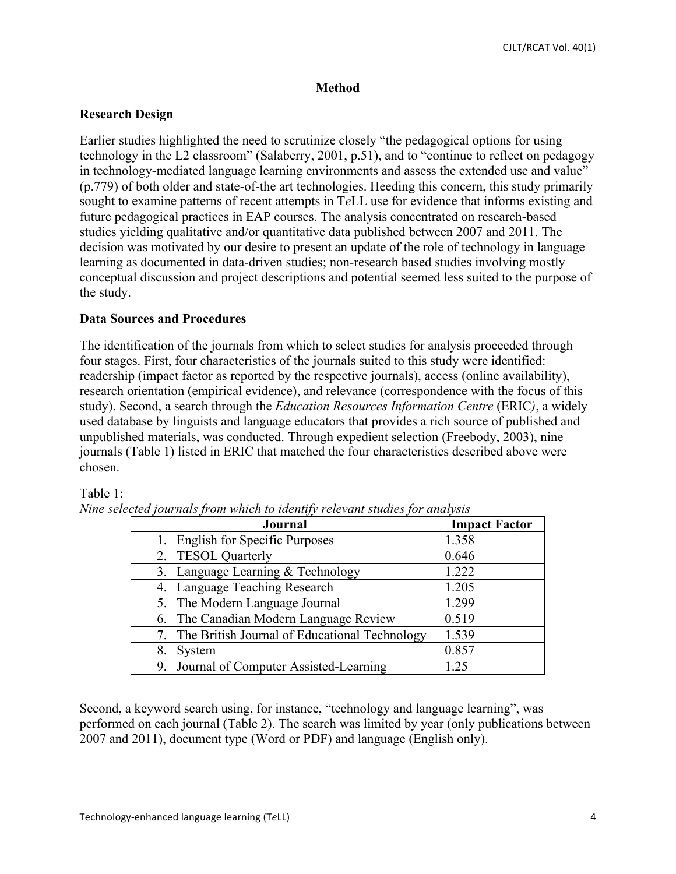## **Method**

## **Research Design**

Earlier studies highlighted the need to scrutinize closely "the pedagogical options for using technology in the L2 classroom" (Salaberry, 2001, p.51), and to "continue to reflect on pedagogy in technology-mediated language learning environments and assess the extended use and value" (p.779) of both older and state-of-the art technologies. Heeding this concern, this study primarily sought to examine patterns of recent attempts in T*e*LL use for evidence that informs existing and future pedagogical practices in EAP courses. The analysis concentrated on research-based studies yielding qualitative and/or quantitative data published between 2007 and 2011. The decision was motivated by our desire to present an update of the role of technology in language learning as documented in data-driven studies; non-research based studies involving mostly conceptual discussion and project descriptions and potential seemed less suited to the purpose of the study.

## **Data Sources and Procedures**

The identification of the journals from which to select studies for analysis proceeded through four stages. First, four characteristics of the journals suited to this study were identified: readership (impact factor as reported by the respective journals), access (online availability), research orientation (empirical evidence), and relevance (correspondence with the focus of this study). Second, a search through the *Education Resources Information Centre* (ERIC*)*, a widely used database by linguists and language educators that provides a rich source of published and unpublished materials, was conducted. Through expedient selection (Freebody, 2003), nine journals (Table 1) listed in ERIC that matched the four characteristics described above were chosen.

## Table 1:

| Journal                                          | <b>Impact Factor</b> |
|--------------------------------------------------|----------------------|
| 1. English for Specific Purposes                 | 1.358                |
| 2. TESOL Quarterly                               | 0.646                |
| 3. Language Learning & Technology                | 1.222                |
| 4. Language Teaching Research                    | 1.205                |
| 5. The Modern Language Journal                   | 1.299                |
| 6. The Canadian Modern Language Review           | 0.519                |
| 7. The British Journal of Educational Technology | 1.539                |
| System<br>8.                                     | 0.857                |
| Journal of Computer Assisted-Learning            | 1.25                 |

|  | Nine selected journals from which to identify relevant studies for analysis |  |
|--|-----------------------------------------------------------------------------|--|
|  |                                                                             |  |

Second, a keyword search using, for instance, "technology and language learning", was performed on each journal (Table 2). The search was limited by year (only publications between 2007 and 2011), document type (Word or PDF) and language (English only).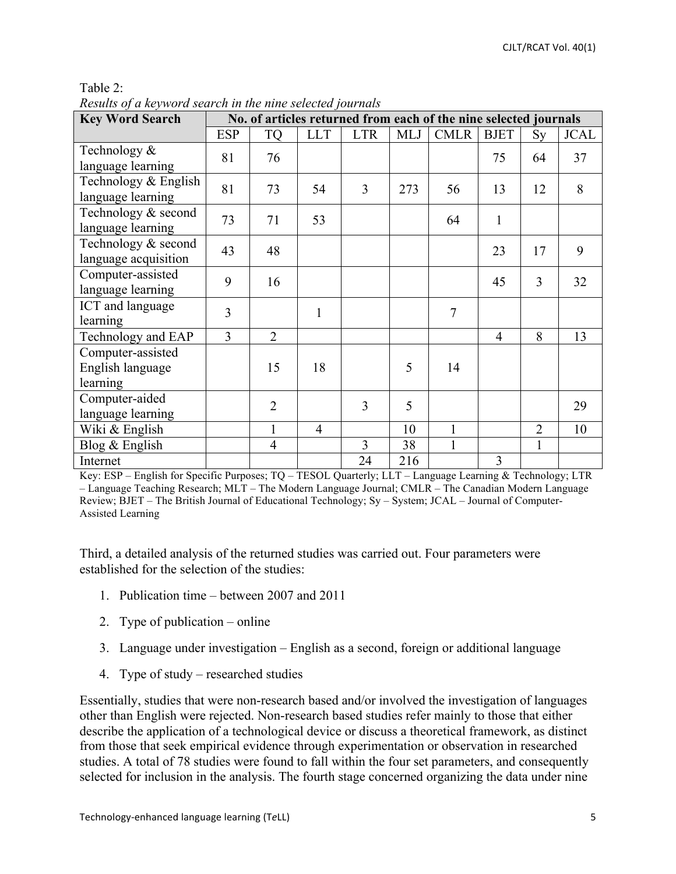| `able |  |
|-------|--|
|       |  |

| <b>Key Word Search</b>                            | heshiis of a keyword scaren in the nine sciecied fournais<br>No. of articles returned from each of the nine selected journals |                |                |                |            |                |                |                |             |
|---------------------------------------------------|-------------------------------------------------------------------------------------------------------------------------------|----------------|----------------|----------------|------------|----------------|----------------|----------------|-------------|
|                                                   |                                                                                                                               |                |                |                |            |                |                |                |             |
|                                                   | <b>ESP</b>                                                                                                                    | <b>TQ</b>      | <b>LLT</b>     | <b>LTR</b>     | <b>MLJ</b> | <b>CMLR</b>    | <b>BJET</b>    | Sy             | <b>JCAL</b> |
| Technology &<br>language learning                 | 81                                                                                                                            | 76             |                |                |            |                | 75             | 64             | 37          |
| Technology & English<br>language learning         | 81                                                                                                                            | 73             | 54             | 3              | 273        | 56             | 13             | 12             | 8           |
| Technology & second<br>language learning          | 73                                                                                                                            | 71             | 53             |                |            | 64             | $\mathbf{1}$   |                |             |
| Technology & second<br>language acquisition       | 43                                                                                                                            | 48             |                |                |            |                | 23             | 17             | 9           |
| Computer-assisted<br>language learning            | 9                                                                                                                             | 16             |                |                |            |                | 45             | 3              | 32          |
| ICT and language<br>learning                      | 3                                                                                                                             |                | $\mathbf{1}$   |                |            | $\overline{7}$ |                |                |             |
| Technology and EAP                                | $\overline{3}$                                                                                                                | $\overline{2}$ |                |                |            |                | $\overline{4}$ | 8              | 13          |
| Computer-assisted<br>English language<br>learning |                                                                                                                               | 15             | 18             |                | 5          | 14             |                |                |             |
| Computer-aided<br>language learning               |                                                                                                                               | $\overline{2}$ |                | 3              | 5          |                |                |                | 29          |
| Wiki & English                                    |                                                                                                                               | $\mathbf{1}$   | $\overline{4}$ |                | 10         | $\mathbf{1}$   |                | $\overline{2}$ | 10          |
| Blog & English                                    |                                                                                                                               | $\overline{4}$ |                | $\overline{3}$ | 38         | $\mathbf{1}$   |                | $\mathbf{1}$   |             |
| Internet                                          |                                                                                                                               |                |                | 24             | 216        |                | 3              |                |             |

*Results of a keyword search in the nine selected journals* 

Key: ESP – English for Specific Purposes; TQ – TESOL Quarterly; LLT – Language Learning & Technology; LTR – Language Teaching Research; MLT – The Modern Language Journal; CMLR – The Canadian Modern Language Review; BJET – The British Journal of Educational Technology; Sy – System; JCAL – Journal of Computer-Assisted Learning

Third, a detailed analysis of the returned studies was carried out. Four parameters were established for the selection of the studies:

- 1. Publication time between 2007 and 2011
- 2. Type of publication online
- 3. Language under investigation English as a second, foreign or additional language
- 4. Type of study researched studies

Essentially, studies that were non-research based and/or involved the investigation of languages other than English were rejected. Non-research based studies refer mainly to those that either describe the application of a technological device or discuss a theoretical framework, as distinct from those that seek empirical evidence through experimentation or observation in researched studies. A total of 78 studies were found to fall within the four set parameters, and consequently selected for inclusion in the analysis. The fourth stage concerned organizing the data under nine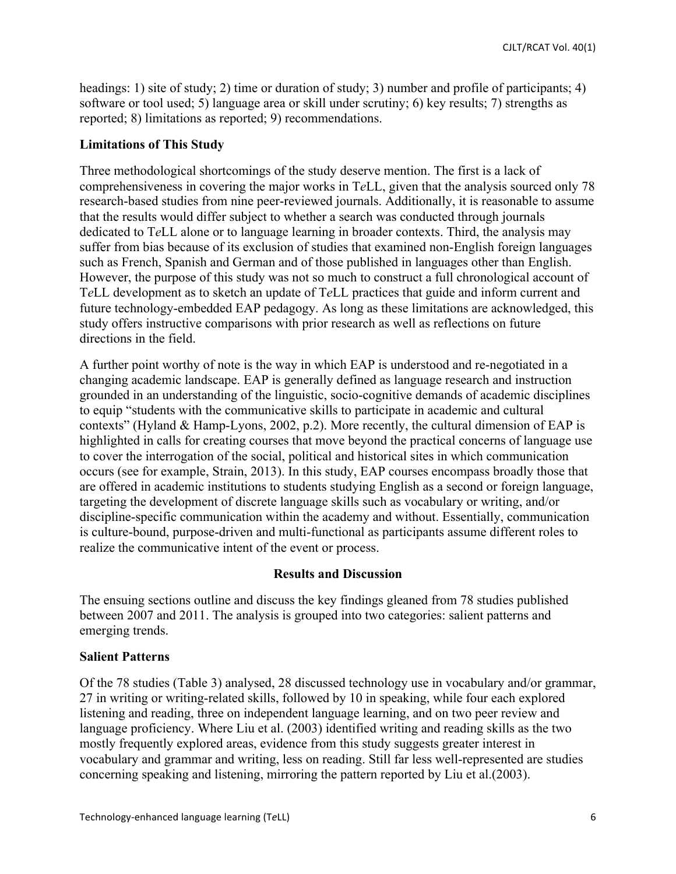headings: 1) site of study; 2) time or duration of study; 3) number and profile of participants; 4) software or tool used; 5) language area or skill under scrutiny; 6) key results; 7) strengths as reported; 8) limitations as reported; 9) recommendations.

#### **Limitations of This Study**

Three methodological shortcomings of the study deserve mention. The first is a lack of comprehensiveness in covering the major works in T*e*LL, given that the analysis sourced only 78 research-based studies from nine peer-reviewed journals. Additionally, it is reasonable to assume that the results would differ subject to whether a search was conducted through journals dedicated to T*e*LL alone or to language learning in broader contexts. Third, the analysis may suffer from bias because of its exclusion of studies that examined non-English foreign languages such as French, Spanish and German and of those published in languages other than English. However, the purpose of this study was not so much to construct a full chronological account of T*e*LL development as to sketch an update of T*e*LL practices that guide and inform current and future technology-embedded EAP pedagogy. As long as these limitations are acknowledged, this study offers instructive comparisons with prior research as well as reflections on future directions in the field.

A further point worthy of note is the way in which EAP is understood and re-negotiated in a changing academic landscape. EAP is generally defined as language research and instruction grounded in an understanding of the linguistic, socio-cognitive demands of academic disciplines to equip "students with the communicative skills to participate in academic and cultural contexts" (Hyland & Hamp-Lyons, 2002, p.2). More recently, the cultural dimension of EAP is highlighted in calls for creating courses that move beyond the practical concerns of language use to cover the interrogation of the social, political and historical sites in which communication occurs (see for example, Strain, 2013). In this study, EAP courses encompass broadly those that are offered in academic institutions to students studying English as a second or foreign language, targeting the development of discrete language skills such as vocabulary or writing, and/or discipline-specific communication within the academy and without. Essentially, communication is culture-bound, purpose-driven and multi-functional as participants assume different roles to realize the communicative intent of the event or process.

## **Results and Discussion**

The ensuing sections outline and discuss the key findings gleaned from 78 studies published between 2007 and 2011. The analysis is grouped into two categories: salient patterns and emerging trends.

#### **Salient Patterns**

Of the 78 studies (Table 3) analysed, 28 discussed technology use in vocabulary and/or grammar, 27 in writing or writing-related skills, followed by 10 in speaking, while four each explored listening and reading, three on independent language learning, and on two peer review and language proficiency. Where Liu et al. (2003) identified writing and reading skills as the two mostly frequently explored areas, evidence from this study suggests greater interest in vocabulary and grammar and writing, less on reading. Still far less well-represented are studies concerning speaking and listening, mirroring the pattern reported by Liu et al.(2003).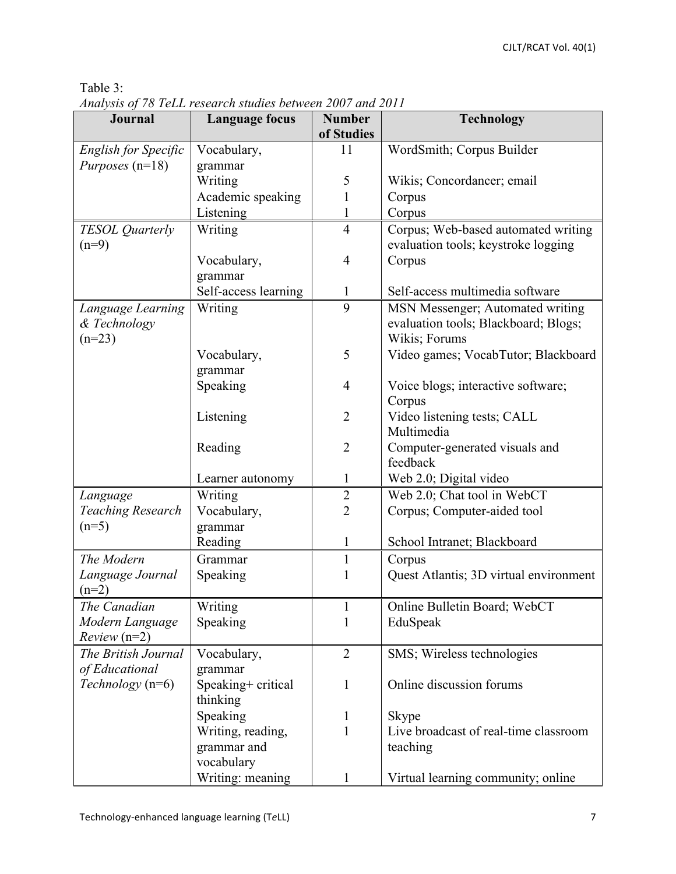| Journal                            | <b>Language focus</b>         | <b>Number</b><br>of Studies | <b>Technology</b>                      |
|------------------------------------|-------------------------------|-----------------------------|----------------------------------------|
| <b>English for Specific</b>        | Vocabulary,                   | 11                          | WordSmith; Corpus Builder              |
| Purposes (n=18)                    | grammar                       |                             |                                        |
|                                    | Writing                       | 5                           | Wikis; Concordancer; email             |
|                                    | Academic speaking             | 1                           | Corpus                                 |
|                                    | Listening                     | $\mathbf{1}$                | Corpus                                 |
|                                    | Writing                       | $\overline{4}$              | Corpus; Web-based automated writing    |
| <b>TESOL</b> Quarterly<br>$(n=9)$  |                               |                             | evaluation tools; keystroke logging    |
|                                    | Vocabulary,                   | 4                           | Corpus                                 |
|                                    | grammar                       |                             |                                        |
|                                    | Self-access learning          | 1                           | Self-access multimedia software        |
| Language Learning                  | Writing                       | 9                           | MSN Messenger; Automated writing       |
| & Technology                       |                               |                             | evaluation tools; Blackboard; Blogs;   |
| $(n=23)$                           |                               |                             | Wikis; Forums                          |
|                                    | Vocabulary,                   | 5                           | Video games; VocabTutor; Blackboard    |
|                                    | grammar                       |                             |                                        |
|                                    | Speaking                      | 4                           | Voice blogs; interactive software;     |
|                                    |                               |                             | Corpus                                 |
|                                    | Listening                     | $\overline{2}$              | Video listening tests; CALL            |
|                                    |                               |                             | Multimedia                             |
|                                    | Reading                       | $\overline{2}$              | Computer-generated visuals and         |
|                                    |                               |                             | feedback                               |
|                                    | Learner autonomy              | 1                           | Web 2.0; Digital video                 |
| Language                           | Writing                       | $\overline{2}$              | Web 2.0; Chat tool in WebCT            |
| <b>Teaching Research</b>           | Vocabulary,                   | $\overline{2}$              | Corpus; Computer-aided tool            |
| $(n=5)$                            | grammar                       |                             |                                        |
|                                    | Reading                       | 1                           | School Intranet; Blackboard            |
| The Modern                         | Grammar                       | $\mathbf{1}$                | Corpus                                 |
| Language Journal                   | Speaking                      | 1                           | Quest Atlantis; 3D virtual environment |
| $(n=2)$                            |                               |                             |                                        |
| The Canadian                       | Writing                       | $\mathbf{1}$                | Online Bulletin Board; WebCT           |
| Modern Language                    | Speaking                      | 1                           | EduSpeak                               |
| $Review (n=2)$                     |                               |                             |                                        |
| The British Journal                | Vocabulary,                   | $\overline{2}$              | SMS; Wireless technologies             |
| of Educational<br>Technology (n=6) | grammar<br>Speaking+ critical |                             | Online discussion forums               |
|                                    | thinking                      | 1                           |                                        |
|                                    | Speaking                      | 1                           | Skype                                  |
|                                    | Writing, reading,             | 1                           | Live broadcast of real-time classroom  |
|                                    | grammar and                   |                             | teaching                               |
|                                    | vocabulary                    |                             |                                        |
|                                    | Writing: meaning              | 1                           | Virtual learning community; online     |

Table 3: *Analysis of 78 TeLL research studies between 2007 and 2011*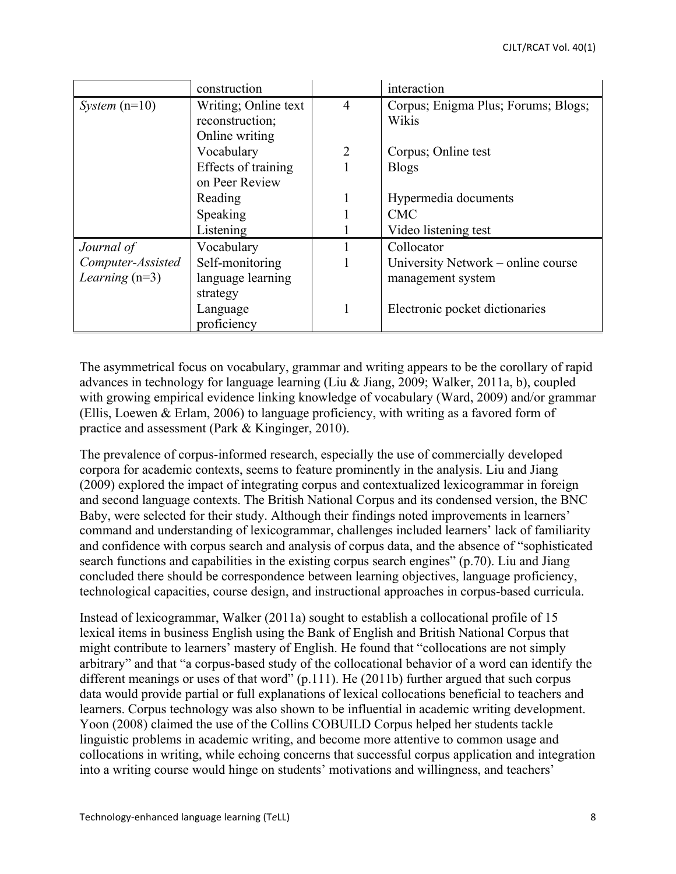|                   | construction         |                | interaction                         |
|-------------------|----------------------|----------------|-------------------------------------|
| System $(n=10)$   | Writing; Online text | $\overline{4}$ | Corpus; Enigma Plus; Forums; Blogs; |
|                   | reconstruction;      |                | Wikis                               |
|                   | Online writing       |                |                                     |
|                   | Vocabulary           | $\overline{2}$ | Corpus; Online test                 |
|                   | Effects of training  |                | <b>Blogs</b>                        |
|                   | on Peer Review       |                |                                     |
|                   | Reading              |                | Hypermedia documents                |
|                   | Speaking             |                | <b>CMC</b>                          |
|                   | Listening            |                | Video listening test                |
| Journal of        | Vocabulary           |                | Collocator                          |
| Computer-Assisted | Self-monitoring      |                | University Network – online course  |
| Learning $(n=3)$  | language learning    |                | management system                   |
|                   | strategy             |                |                                     |
|                   | Language             |                | Electronic pocket dictionaries      |
|                   | proficiency          |                |                                     |

The asymmetrical focus on vocabulary, grammar and writing appears to be the corollary of rapid advances in technology for language learning (Liu & Jiang, 2009; Walker, 2011a, b), coupled with growing empirical evidence linking knowledge of vocabulary (Ward, 2009) and/or grammar (Ellis, Loewen & Erlam, 2006) to language proficiency, with writing as a favored form of practice and assessment (Park & Kinginger, 2010).

The prevalence of corpus-informed research, especially the use of commercially developed corpora for academic contexts, seems to feature prominently in the analysis. Liu and Jiang (2009) explored the impact of integrating corpus and contextualized lexicogrammar in foreign and second language contexts. The British National Corpus and its condensed version, the BNC Baby, were selected for their study. Although their findings noted improvements in learners' command and understanding of lexicogrammar, challenges included learners' lack of familiarity and confidence with corpus search and analysis of corpus data, and the absence of "sophisticated search functions and capabilities in the existing corpus search engines" (p.70). Liu and Jiang concluded there should be correspondence between learning objectives, language proficiency, technological capacities, course design, and instructional approaches in corpus-based curricula.

Instead of lexicogrammar, Walker (2011a) sought to establish a collocational profile of 15 lexical items in business English using the Bank of English and British National Corpus that might contribute to learners' mastery of English. He found that "collocations are not simply arbitrary" and that "a corpus-based study of the collocational behavior of a word can identify the different meanings or uses of that word" (p.111). He (2011b) further argued that such corpus data would provide partial or full explanations of lexical collocations beneficial to teachers and learners. Corpus technology was also shown to be influential in academic writing development. Yoon (2008) claimed the use of the Collins COBUILD Corpus helped her students tackle linguistic problems in academic writing, and become more attentive to common usage and collocations in writing, while echoing concerns that successful corpus application and integration into a writing course would hinge on students' motivations and willingness, and teachers'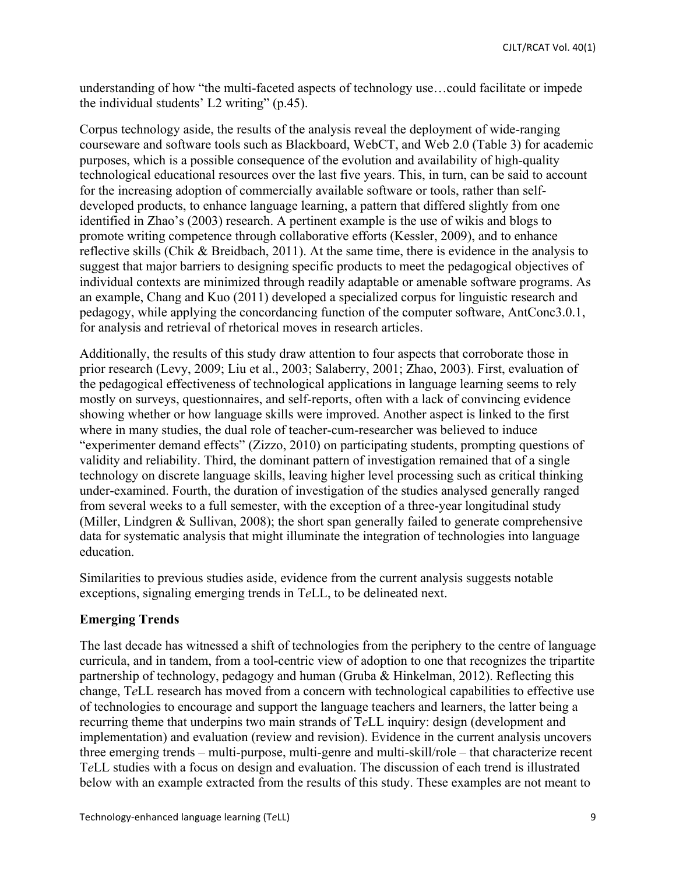understanding of how "the multi-faceted aspects of technology use…could facilitate or impede the individual students' L2 writing" (p.45).

Corpus technology aside, the results of the analysis reveal the deployment of wide-ranging courseware and software tools such as Blackboard, WebCT, and Web 2.0 (Table 3) for academic purposes, which is a possible consequence of the evolution and availability of high-quality technological educational resources over the last five years. This, in turn, can be said to account for the increasing adoption of commercially available software or tools, rather than selfdeveloped products, to enhance language learning, a pattern that differed slightly from one identified in Zhao's (2003) research. A pertinent example is the use of wikis and blogs to promote writing competence through collaborative efforts (Kessler, 2009), and to enhance reflective skills (Chik & Breidbach, 2011). At the same time, there is evidence in the analysis to suggest that major barriers to designing specific products to meet the pedagogical objectives of individual contexts are minimized through readily adaptable or amenable software programs. As an example, Chang and Kuo (2011) developed a specialized corpus for linguistic research and pedagogy, while applying the concordancing function of the computer software, AntConc3.0.1, for analysis and retrieval of rhetorical moves in research articles.

Additionally, the results of this study draw attention to four aspects that corroborate those in prior research (Levy, 2009; Liu et al., 2003; Salaberry, 2001; Zhao, 2003). First, evaluation of the pedagogical effectiveness of technological applications in language learning seems to rely mostly on surveys, questionnaires, and self-reports, often with a lack of convincing evidence showing whether or how language skills were improved. Another aspect is linked to the first where in many studies, the dual role of teacher-cum-researcher was believed to induce "experimenter demand effects" (Zizzo, 2010) on participating students, prompting questions of validity and reliability. Third, the dominant pattern of investigation remained that of a single technology on discrete language skills, leaving higher level processing such as critical thinking under-examined. Fourth, the duration of investigation of the studies analysed generally ranged from several weeks to a full semester, with the exception of a three-year longitudinal study (Miller, Lindgren & Sullivan, 2008); the short span generally failed to generate comprehensive data for systematic analysis that might illuminate the integration of technologies into language education.

Similarities to previous studies aside, evidence from the current analysis suggests notable exceptions, signaling emerging trends in T*e*LL, to be delineated next.

## **Emerging Trends**

The last decade has witnessed a shift of technologies from the periphery to the centre of language curricula, and in tandem, from a tool-centric view of adoption to one that recognizes the tripartite partnership of technology, pedagogy and human (Gruba & Hinkelman, 2012). Reflecting this change, T*e*LL research has moved from a concern with technological capabilities to effective use of technologies to encourage and support the language teachers and learners, the latter being a recurring theme that underpins two main strands of T*e*LL inquiry: design (development and implementation) and evaluation (review and revision). Evidence in the current analysis uncovers three emerging trends – multi-purpose, multi-genre and multi-skill/role – that characterize recent T*e*LL studies with a focus on design and evaluation. The discussion of each trend is illustrated below with an example extracted from the results of this study. These examples are not meant to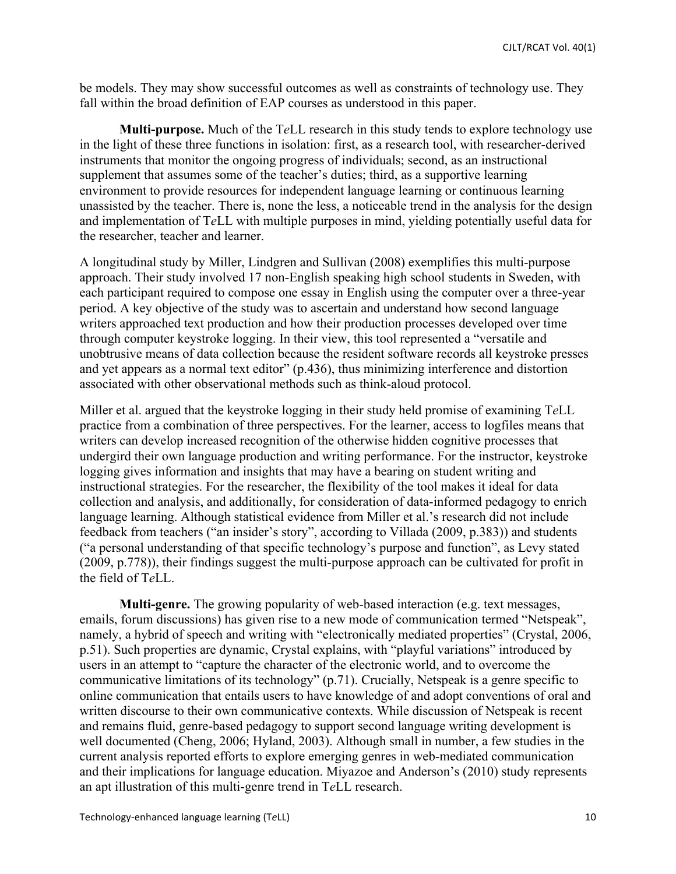be models. They may show successful outcomes as well as constraints of technology use. They fall within the broad definition of EAP courses as understood in this paper.

**Multi-purpose.** Much of the T*e*LL research in this study tends to explore technology use in the light of these three functions in isolation: first, as a research tool, with researcher-derived instruments that monitor the ongoing progress of individuals; second, as an instructional supplement that assumes some of the teacher's duties; third, as a supportive learning environment to provide resources for independent language learning or continuous learning unassisted by the teacher. There is, none the less, a noticeable trend in the analysis for the design and implementation of T*e*LL with multiple purposes in mind, yielding potentially useful data for the researcher, teacher and learner.

A longitudinal study by Miller, Lindgren and Sullivan (2008) exemplifies this multi-purpose approach. Their study involved 17 non-English speaking high school students in Sweden, with each participant required to compose one essay in English using the computer over a three-year period. A key objective of the study was to ascertain and understand how second language writers approached text production and how their production processes developed over time through computer keystroke logging. In their view, this tool represented a "versatile and unobtrusive means of data collection because the resident software records all keystroke presses and yet appears as a normal text editor" (p.436), thus minimizing interference and distortion associated with other observational methods such as think-aloud protocol.

Miller et al. argued that the keystroke logging in their study held promise of examining T*e*LL practice from a combination of three perspectives. For the learner, access to logfiles means that writers can develop increased recognition of the otherwise hidden cognitive processes that undergird their own language production and writing performance. For the instructor, keystroke logging gives information and insights that may have a bearing on student writing and instructional strategies. For the researcher, the flexibility of the tool makes it ideal for data collection and analysis, and additionally, for consideration of data-informed pedagogy to enrich language learning. Although statistical evidence from Miller et al.'s research did not include feedback from teachers ("an insider's story", according to Villada (2009, p.383)) and students ("a personal understanding of that specific technology's purpose and function", as Levy stated (2009, p.778)), their findings suggest the multi-purpose approach can be cultivated for profit in the field of T*e*LL.

**Multi-genre.** The growing popularity of web-based interaction (e.g. text messages, emails, forum discussions) has given rise to a new mode of communication termed "Netspeak", namely, a hybrid of speech and writing with "electronically mediated properties" (Crystal, 2006, p.51). Such properties are dynamic, Crystal explains, with "playful variations" introduced by users in an attempt to "capture the character of the electronic world, and to overcome the communicative limitations of its technology" (p.71). Crucially, Netspeak is a genre specific to online communication that entails users to have knowledge of and adopt conventions of oral and written discourse to their own communicative contexts. While discussion of Netspeak is recent and remains fluid, genre-based pedagogy to support second language writing development is well documented (Cheng, 2006; Hyland, 2003). Although small in number, a few studies in the current analysis reported efforts to explore emerging genres in web-mediated communication and their implications for language education. Miyazoe and Anderson's (2010) study represents an apt illustration of this multi-genre trend in T*e*LL research.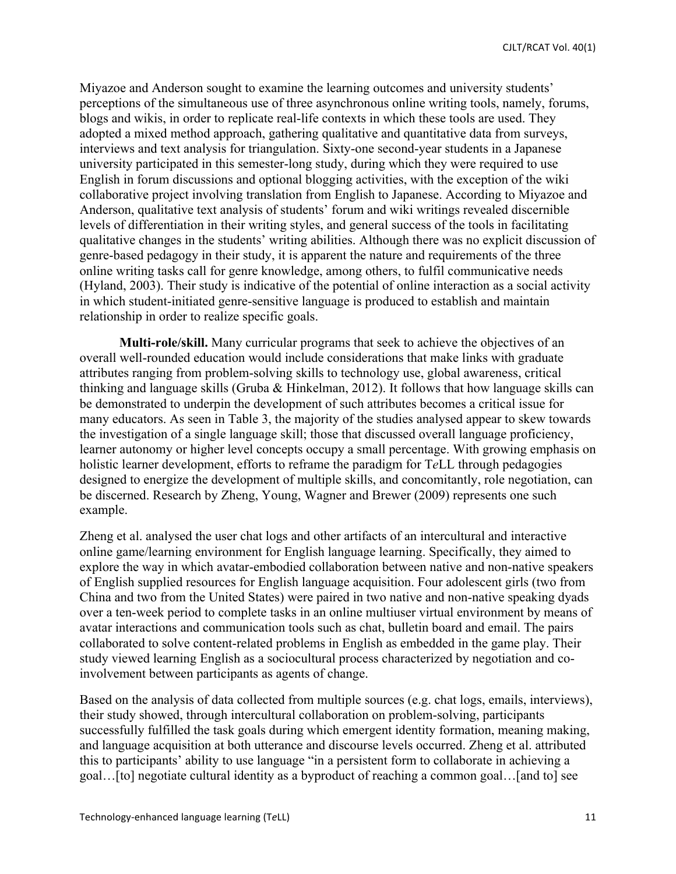Miyazoe and Anderson sought to examine the learning outcomes and university students' perceptions of the simultaneous use of three asynchronous online writing tools, namely, forums, blogs and wikis, in order to replicate real-life contexts in which these tools are used. They adopted a mixed method approach, gathering qualitative and quantitative data from surveys, interviews and text analysis for triangulation. Sixty-one second-year students in a Japanese university participated in this semester-long study, during which they were required to use English in forum discussions and optional blogging activities, with the exception of the wiki collaborative project involving translation from English to Japanese. According to Miyazoe and Anderson, qualitative text analysis of students' forum and wiki writings revealed discernible levels of differentiation in their writing styles, and general success of the tools in facilitating qualitative changes in the students' writing abilities. Although there was no explicit discussion of genre-based pedagogy in their study, it is apparent the nature and requirements of the three online writing tasks call for genre knowledge, among others, to fulfil communicative needs (Hyland, 2003). Their study is indicative of the potential of online interaction as a social activity in which student-initiated genre-sensitive language is produced to establish and maintain relationship in order to realize specific goals.

**Multi-role/skill.** Many curricular programs that seek to achieve the objectives of an overall well-rounded education would include considerations that make links with graduate attributes ranging from problem-solving skills to technology use, global awareness, critical thinking and language skills (Gruba & Hinkelman, 2012). It follows that how language skills can be demonstrated to underpin the development of such attributes becomes a critical issue for many educators. As seen in Table 3, the majority of the studies analysed appear to skew towards the investigation of a single language skill; those that discussed overall language proficiency, learner autonomy or higher level concepts occupy a small percentage. With growing emphasis on holistic learner development, efforts to reframe the paradigm for T*e*LL through pedagogies designed to energize the development of multiple skills, and concomitantly, role negotiation, can be discerned. Research by Zheng, Young, Wagner and Brewer (2009) represents one such example.

Zheng et al. analysed the user chat logs and other artifacts of an intercultural and interactive online game/learning environment for English language learning. Specifically, they aimed to explore the way in which avatar-embodied collaboration between native and non-native speakers of English supplied resources for English language acquisition. Four adolescent girls (two from China and two from the United States) were paired in two native and non-native speaking dyads over a ten-week period to complete tasks in an online multiuser virtual environment by means of avatar interactions and communication tools such as chat, bulletin board and email. The pairs collaborated to solve content-related problems in English as embedded in the game play. Their study viewed learning English as a sociocultural process characterized by negotiation and coinvolvement between participants as agents of change.

Based on the analysis of data collected from multiple sources (e.g. chat logs, emails, interviews), their study showed, through intercultural collaboration on problem-solving, participants successfully fulfilled the task goals during which emergent identity formation, meaning making, and language acquisition at both utterance and discourse levels occurred. Zheng et al. attributed this to participants' ability to use language "in a persistent form to collaborate in achieving a goal…[to] negotiate cultural identity as a byproduct of reaching a common goal…[and to] see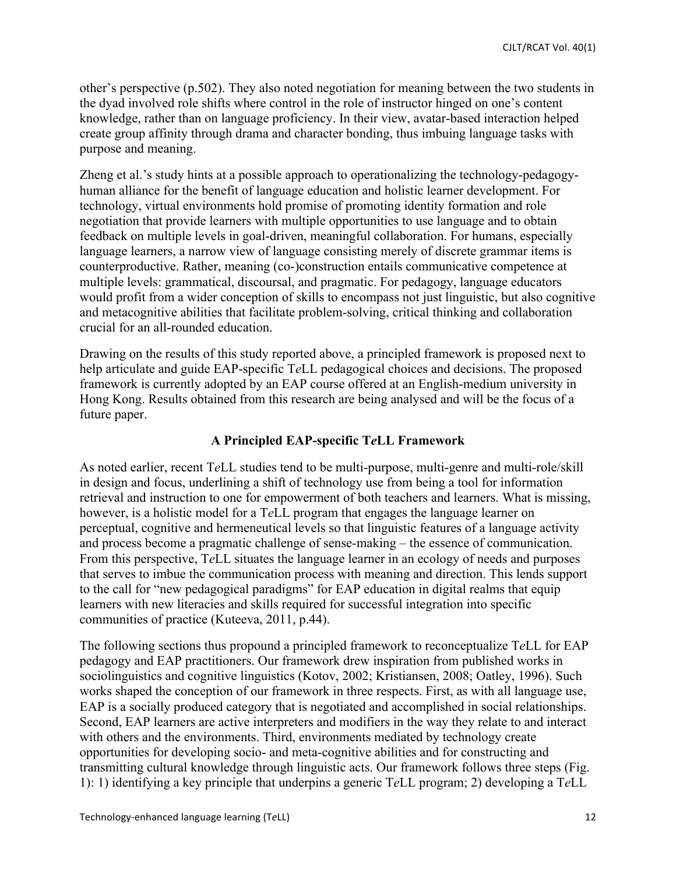other's perspective (p.502). They also noted negotiation for meaning between the two students in the dyad involved role shifts where control in the role of instructor hinged on one's content knowledge, rather than on language proficiency. In their view, avatar-based interaction helped create group affinity through drama and character bonding, thus imbuing language tasks with purpose and meaning.

Zheng et al.'s study hints at a possible approach to operationalizing the technology-pedagogyhuman alliance for the benefit of language education and holistic learner development. For technology, virtual environments hold promise of promoting identity formation and role negotiation that provide learners with multiple opportunities to use language and to obtain feedback on multiple levels in goal-driven, meaningful collaboration. For humans, especially language learners, a narrow view of language consisting merely of discrete grammar items is counterproductive. Rather, meaning (co-)construction entails communicative competence at multiple levels: grammatical, discoursal, and pragmatic. For pedagogy, language educators would profit from a wider conception of skills to encompass not just linguistic, but also cognitive and metacognitive abilities that facilitate problem-solving, critical thinking and collaboration crucial for an all-rounded education.

Drawing on the results of this study reported above, a principled framework is proposed next to help articulate and guide EAP-specific T*e*LL pedagogical choices and decisions. The proposed framework is currently adopted by an EAP course offered at an English-medium university in Hong Kong. Results obtained from this research are being analysed and will be the focus of a future paper.

## **A Principled EAP-specific T***e***LL Framework**

As noted earlier, recent T*e*LL studies tend to be multi-purpose, multi-genre and multi-role/skill in design and focus, underlining a shift of technology use from being a tool for information retrieval and instruction to one for empowerment of both teachers and learners. What is missing, however, is a holistic model for a T*e*LL program that engages the language learner on perceptual, cognitive and hermeneutical levels so that linguistic features of a language activity and process become a pragmatic challenge of sense-making – the essence of communication. From this perspective, T*e*LL situates the language learner in an ecology of needs and purposes that serves to imbue the communication process with meaning and direction. This lends support to the call for "new pedagogical paradigms" for EAP education in digital realms that equip learners with new literacies and skills required for successful integration into specific communities of practice (Kuteeva, 2011, p.44).

The following sections thus propound a principled framework to reconceptualize T*e*LL for EAP pedagogy and EAP practitioners. Our framework drew inspiration from published works in sociolinguistics and cognitive linguistics (Kotov, 2002; Kristiansen, 2008; Oatley, 1996). Such works shaped the conception of our framework in three respects. First, as with all language use, EAP is a socially produced category that is negotiated and accomplished in social relationships. Second, EAP learners are active interpreters and modifiers in the way they relate to and interact with others and the environments. Third, environments mediated by technology create opportunities for developing socio- and meta-cognitive abilities and for constructing and transmitting cultural knowledge through linguistic acts. Our framework follows three steps (Fig. 1): 1) identifying a key principle that underpins a generic T*e*LL program; 2) developing a T*e*LL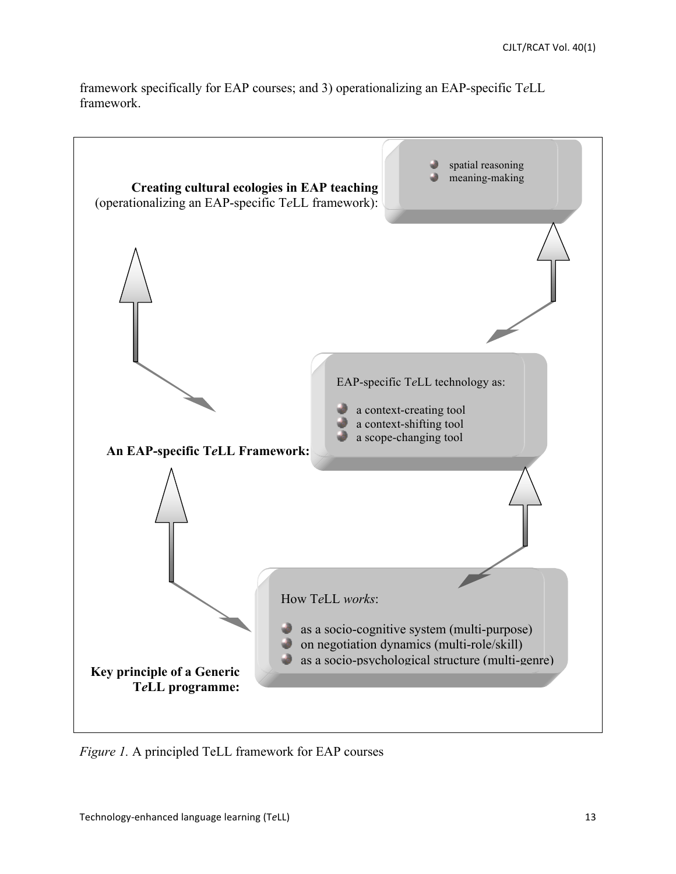framework specifically for EAP courses; and 3) operationalizing an EAP-specific T*e*LL framework.



*Figure 1.* A principled TeLL framework for EAP courses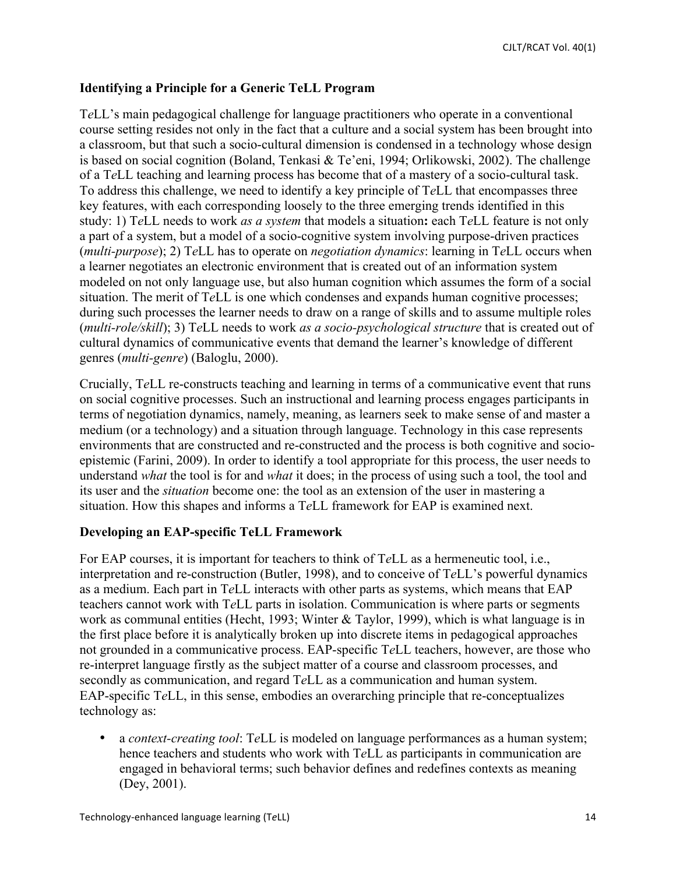## **Identifying a Principle for a Generic TeLL Program**

T*e*LL's main pedagogical challenge for language practitioners who operate in a conventional course setting resides not only in the fact that a culture and a social system has been brought into a classroom, but that such a socio-cultural dimension is condensed in a technology whose design is based on social cognition (Boland, Tenkasi & Te'eni, 1994; Orlikowski, 2002). The challenge of a T*e*LL teaching and learning process has become that of a mastery of a socio-cultural task. To address this challenge, we need to identify a key principle of T*e*LL that encompasses three key features, with each corresponding loosely to the three emerging trends identified in this study: 1) T*e*LL needs to work *as a system* that models a situation**:** each T*e*LL feature is not only a part of a system, but a model of a socio-cognitive system involving purpose-driven practices (*multi-purpose*); 2) T*e*LL has to operate on *negotiation dynamics*: learning in T*e*LL occurs when a learner negotiates an electronic environment that is created out of an information system modeled on not only language use, but also human cognition which assumes the form of a social situation. The merit of T*e*LL is one which condenses and expands human cognitive processes; during such processes the learner needs to draw on a range of skills and to assume multiple roles (*multi-role/skill*); 3) T*e*LL needs to work *as a socio-psychological structure* that is created out of cultural dynamics of communicative events that demand the learner's knowledge of different genres (*multi-genre*) (Baloglu, 2000).

Crucially, T*e*LL re-constructs teaching and learning in terms of a communicative event that runs on social cognitive processes. Such an instructional and learning process engages participants in terms of negotiation dynamics, namely, meaning, as learners seek to make sense of and master a medium (or a technology) and a situation through language. Technology in this case represents environments that are constructed and re-constructed and the process is both cognitive and socioepistemic (Farini, 2009). In order to identify a tool appropriate for this process, the user needs to understand *what* the tool is for and *what* it does; in the process of using such a tool, the tool and its user and the *situation* become one: the tool as an extension of the user in mastering a situation. How this shapes and informs a T*e*LL framework for EAP is examined next.

#### **Developing an EAP-specific TeLL Framework**

For EAP courses, it is important for teachers to think of T*e*LL as a hermeneutic tool, i.e., interpretation and re-construction (Butler, 1998), and to conceive of T*e*LL's powerful dynamics as a medium. Each part in T*e*LL interacts with other parts as systems, which means that EAP teachers cannot work with T*e*LL parts in isolation. Communication is where parts or segments work as communal entities (Hecht, 1993; Winter & Taylor, 1999), which is what language is in the first place before it is analytically broken up into discrete items in pedagogical approaches not grounded in a communicative process. EAP-specific T*e*LL teachers, however, are those who re-interpret language firstly as the subject matter of a course and classroom processes, and secondly as communication, and regard T*e*LL as a communication and human system. EAP-specific T*e*LL, in this sense, embodies an overarching principle that re-conceptualizes technology as:

• a *context-creating tool*: T*e*LL is modeled on language performances as a human system; hence teachers and students who work with T*e*LL as participants in communication are engaged in behavioral terms; such behavior defines and redefines contexts as meaning (Dey, 2001).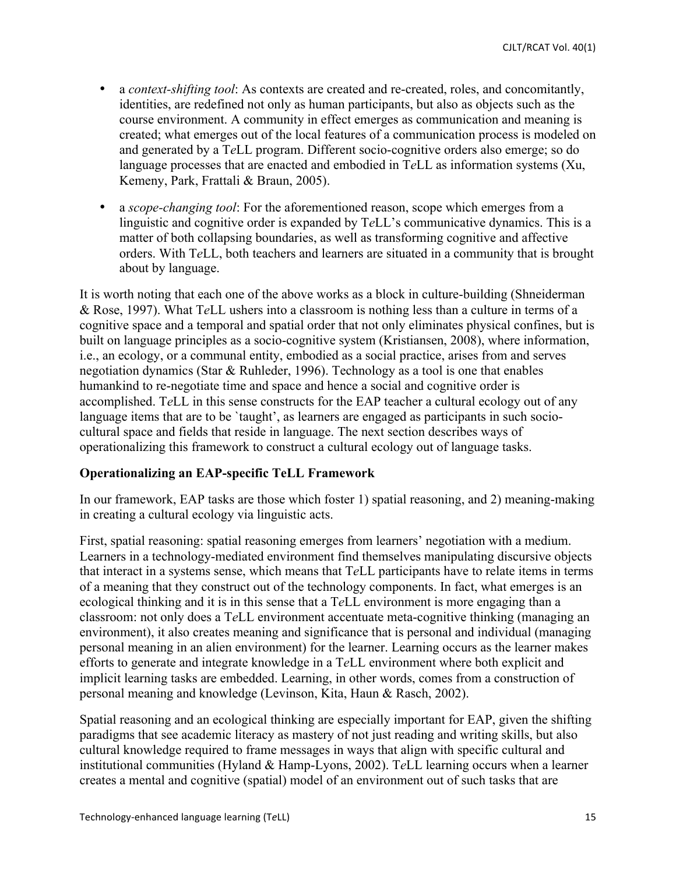- a *context-shifting tool*: As contexts are created and re-created, roles, and concomitantly, identities, are redefined not only as human participants, but also as objects such as the course environment. A community in effect emerges as communication and meaning is created; what emerges out of the local features of a communication process is modeled on and generated by a T*e*LL program. Different socio-cognitive orders also emerge; so do language processes that are enacted and embodied in T*e*LL as information systems (Xu, Kemeny, Park, Frattali & Braun, 2005).
- a *scope-changing tool*: For the aforementioned reason, scope which emerges from a linguistic and cognitive order is expanded by T*e*LL's communicative dynamics. This is a matter of both collapsing boundaries, as well as transforming cognitive and affective orders. With T*e*LL, both teachers and learners are situated in a community that is brought about by language.

It is worth noting that each one of the above works as a block in culture-building (Shneiderman & Rose, 1997). What T*e*LL ushers into a classroom is nothing less than a culture in terms of a cognitive space and a temporal and spatial order that not only eliminates physical confines, but is built on language principles as a socio-cognitive system (Kristiansen, 2008), where information, i.e., an ecology, or a communal entity, embodied as a social practice, arises from and serves negotiation dynamics (Star & Ruhleder, 1996). Technology as a tool is one that enables humankind to re-negotiate time and space and hence a social and cognitive order is accomplished. T*e*LL in this sense constructs for the EAP teacher a cultural ecology out of any language items that are to be 'taught', as learners are engaged as participants in such sociocultural space and fields that reside in language. The next section describes ways of operationalizing this framework to construct a cultural ecology out of language tasks.

## **Operationalizing an EAP-specific TeLL Framework**

In our framework, EAP tasks are those which foster 1) spatial reasoning, and 2) meaning-making in creating a cultural ecology via linguistic acts.

First, spatial reasoning: spatial reasoning emerges from learners' negotiation with a medium. Learners in a technology-mediated environment find themselves manipulating discursive objects that interact in a systems sense, which means that T*e*LL participants have to relate items in terms of a meaning that they construct out of the technology components. In fact, what emerges is an ecological thinking and it is in this sense that a T*e*LL environment is more engaging than a classroom: not only does a T*e*LL environment accentuate meta-cognitive thinking (managing an environment), it also creates meaning and significance that is personal and individual (managing personal meaning in an alien environment) for the learner. Learning occurs as the learner makes efforts to generate and integrate knowledge in a T*e*LL environment where both explicit and implicit learning tasks are embedded. Learning, in other words, comes from a construction of personal meaning and knowledge (Levinson, Kita, Haun & Rasch, 2002).

Spatial reasoning and an ecological thinking are especially important for EAP, given the shifting paradigms that see academic literacy as mastery of not just reading and writing skills, but also cultural knowledge required to frame messages in ways that align with specific cultural and institutional communities (Hyland & Hamp-Lyons, 2002). T*e*LL learning occurs when a learner creates a mental and cognitive (spatial) model of an environment out of such tasks that are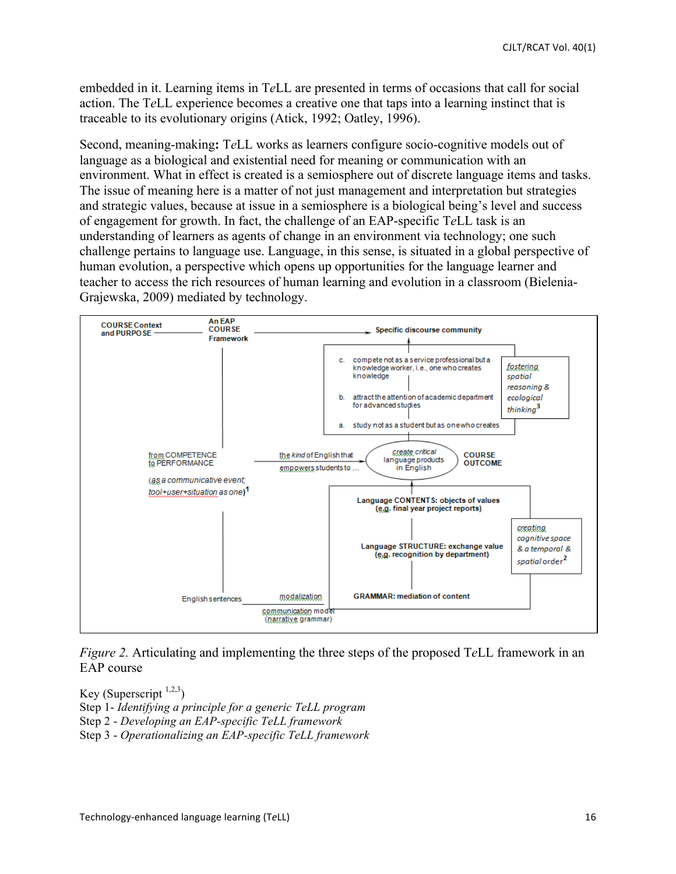embedded in it. Learning items in T*e*LL are presented in terms of occasions that call for social action. The T*e*LL experience becomes a creative one that taps into a learning instinct that is traceable to its evolutionary origins (Atick, 1992; Oatley, 1996).

Second, meaning-making**:** T*e*LL works as learners configure socio-cognitive models out of language as a biological and existential need for meaning or communication with an environment. What in effect is created is a semiosphere out of discrete language items and tasks. The issue of meaning here is a matter of not just management and interpretation but strategies and strategic values, because at issue in a semiosphere is a biological being's level and success of engagement for growth. In fact, the challenge of an EAP-specific T*e*LL task is an understanding of learners as agents of change in an environment via technology; one such challenge pertains to language use. Language, in this sense, is situated in a global perspective of human evolution, a perspective which opens up opportunities for the language learner and teacher to access the rich resources of human learning and evolution in a classroom (Bielenia-Grajewska, 2009) mediated by technology.



*Figure 2.* Articulating and implementing the three steps of the proposed T*e*LL framework in an EAP course

Key (Superscript  $1,2,3$ ) Step 1- *Identifying a principle for a generic TeLL program* Step 2 - *Developing an EAP-specific TeLL framework* Step 3 - *Operationalizing an EAP-specific TeLL framework*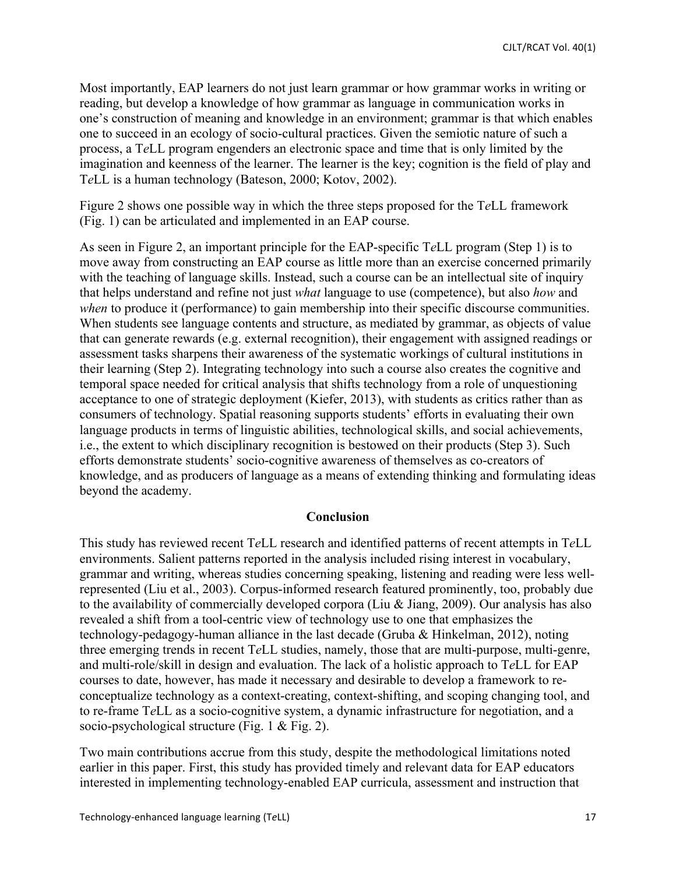Most importantly, EAP learners do not just learn grammar or how grammar works in writing or reading, but develop a knowledge of how grammar as language in communication works in one's construction of meaning and knowledge in an environment; grammar is that which enables one to succeed in an ecology of socio-cultural practices. Given the semiotic nature of such a process, a T*e*LL program engenders an electronic space and time that is only limited by the imagination and keenness of the learner. The learner is the key; cognition is the field of play and T*e*LL is a human technology (Bateson, 2000; Kotov, 2002).

Figure 2 shows one possible way in which the three steps proposed for the T*e*LL framework (Fig. 1) can be articulated and implemented in an EAP course.

As seen in Figure 2, an important principle for the EAP-specific T*e*LL program (Step 1) is to move away from constructing an EAP course as little more than an exercise concerned primarily with the teaching of language skills. Instead, such a course can be an intellectual site of inquiry that helps understand and refine not just *what* language to use (competence), but also *how* and *when* to produce it (performance) to gain membership into their specific discourse communities. When students see language contents and structure, as mediated by grammar, as objects of value that can generate rewards (e.g. external recognition), their engagement with assigned readings or assessment tasks sharpens their awareness of the systematic workings of cultural institutions in their learning (Step 2). Integrating technology into such a course also creates the cognitive and temporal space needed for critical analysis that shifts technology from a role of unquestioning acceptance to one of strategic deployment (Kiefer, 2013), with students as critics rather than as consumers of technology. Spatial reasoning supports students' efforts in evaluating their own language products in terms of linguistic abilities, technological skills, and social achievements, i.e., the extent to which disciplinary recognition is bestowed on their products (Step 3). Such efforts demonstrate students' socio-cognitive awareness of themselves as co-creators of knowledge, and as producers of language as a means of extending thinking and formulating ideas beyond the academy.

## **Conclusion**

This study has reviewed recent T*e*LL research and identified patterns of recent attempts in T*e*LL environments. Salient patterns reported in the analysis included rising interest in vocabulary, grammar and writing, whereas studies concerning speaking, listening and reading were less wellrepresented (Liu et al., 2003). Corpus-informed research featured prominently, too, probably due to the availability of commercially developed corpora (Liu & Jiang, 2009). Our analysis has also revealed a shift from a tool-centric view of technology use to one that emphasizes the technology-pedagogy-human alliance in the last decade (Gruba & Hinkelman, 2012), noting three emerging trends in recent T*e*LL studies, namely, those that are multi-purpose, multi-genre, and multi-role/skill in design and evaluation. The lack of a holistic approach to T*e*LL for EAP courses to date, however, has made it necessary and desirable to develop a framework to reconceptualize technology as a context-creating, context-shifting, and scoping changing tool, and to re-frame T*e*LL as a socio-cognitive system, a dynamic infrastructure for negotiation, and a socio-psychological structure (Fig. 1 & Fig. 2).

Two main contributions accrue from this study, despite the methodological limitations noted earlier in this paper. First, this study has provided timely and relevant data for EAP educators interested in implementing technology-enabled EAP curricula, assessment and instruction that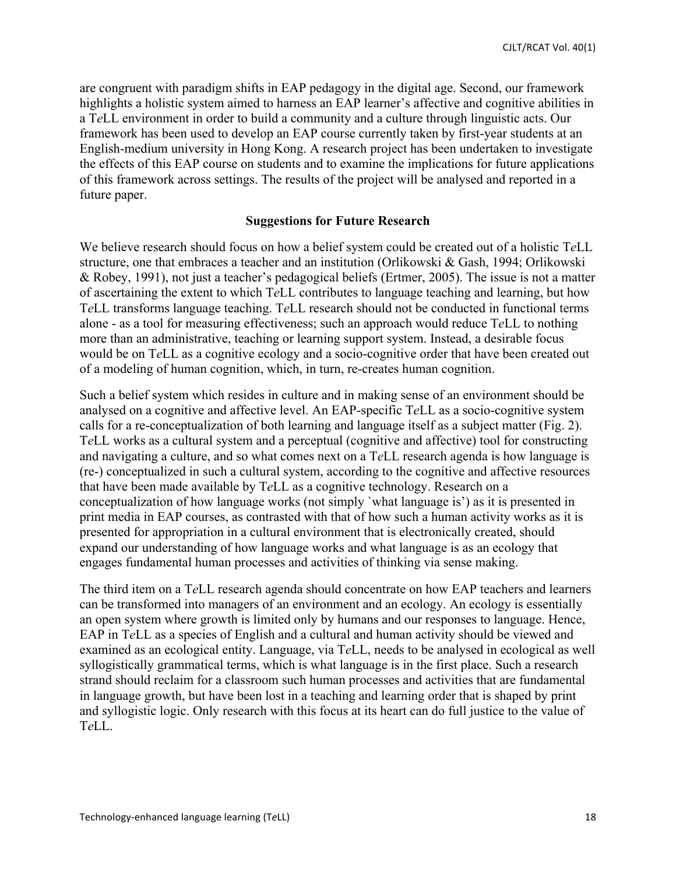are congruent with paradigm shifts in EAP pedagogy in the digital age. Second, our framework highlights a holistic system aimed to harness an EAP learner's affective and cognitive abilities in a T*e*LL environment in order to build a community and a culture through linguistic acts. Our framework has been used to develop an EAP course currently taken by first-year students at an English-medium university in Hong Kong. A research project has been undertaken to investigate the effects of this EAP course on students and to examine the implications for future applications of this framework across settings. The results of the project will be analysed and reported in a future paper.

#### **Suggestions for Future Research**

We believe research should focus on how a belief system could be created out of a holistic T*e*LL structure, one that embraces a teacher and an institution (Orlikowski & Gash, 1994; Orlikowski & Robey, 1991), not just a teacher's pedagogical beliefs (Ertmer, 2005). The issue is not a matter of ascertaining the extent to which T*e*LL contributes to language teaching and learning, but how T*e*LL transforms language teaching. T*e*LL research should not be conducted in functional terms alone - as a tool for measuring effectiveness; such an approach would reduce T*e*LL to nothing more than an administrative, teaching or learning support system. Instead, a desirable focus would be on T*e*LL as a cognitive ecology and a socio-cognitive order that have been created out of a modeling of human cognition, which, in turn, re-creates human cognition.

Such a belief system which resides in culture and in making sense of an environment should be analysed on a cognitive and affective level. An EAP-specific T*e*LL as a socio-cognitive system calls for a re-conceptualization of both learning and language itself as a subject matter (Fig. 2). T*e*LL works as a cultural system and a perceptual (cognitive and affective) tool for constructing and navigating a culture, and so what comes next on a T*e*LL research agenda is how language is (re-) conceptualized in such a cultural system, according to the cognitive and affective resources that have been made available by T*e*LL as a cognitive technology. Research on a conceptualization of how language works (not simply `what language is') as it is presented in print media in EAP courses, as contrasted with that of how such a human activity works as it is presented for appropriation in a cultural environment that is electronically created, should expand our understanding of how language works and what language is as an ecology that engages fundamental human processes and activities of thinking via sense making.

The third item on a T*e*LL research agenda should concentrate on how EAP teachers and learners can be transformed into managers of an environment and an ecology. An ecology is essentially an open system where growth is limited only by humans and our responses to language. Hence, EAP in T*e*LL as a species of English and a cultural and human activity should be viewed and examined as an ecological entity. Language, via T*e*LL, needs to be analysed in ecological as well syllogistically grammatical terms, which is what language is in the first place. Such a research strand should reclaim for a classroom such human processes and activities that are fundamental in language growth, but have been lost in a teaching and learning order that is shaped by print and syllogistic logic. Only research with this focus at its heart can do full justice to the value of T*e*LL.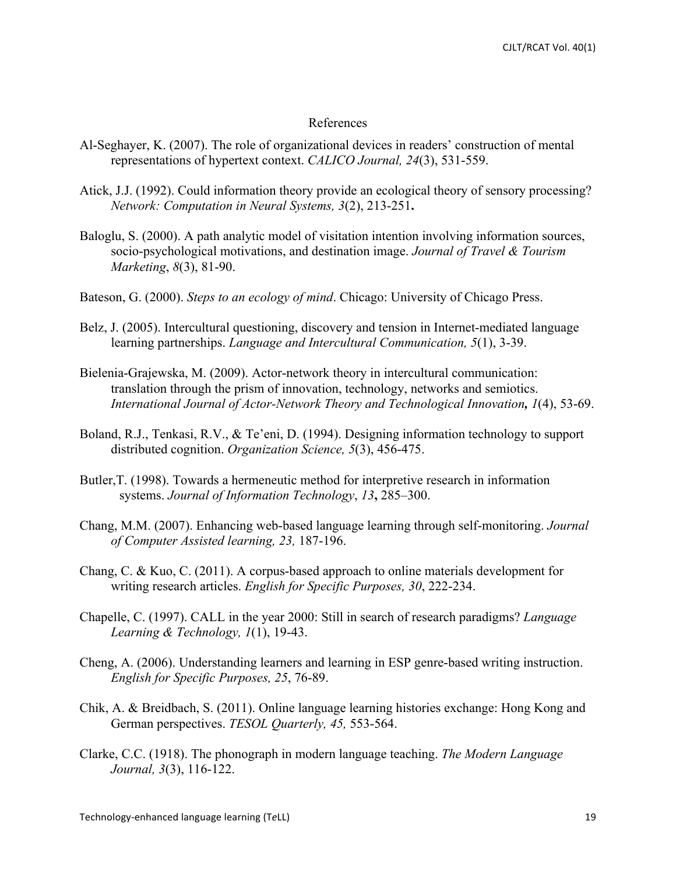#### References

- Al-Seghayer, K. (2007). The role of organizational devices in readers' construction of mental representations of hypertext context. *CALICO Journal, 24*(3), 531-559.
- Atick, J.J. (1992). Could information theory provide an ecological theory of sensory processing? *Network: Computation in Neural Systems, 3*(2), 213-251**.**
- Baloglu, S. (2000). A path analytic model of visitation intention involving information sources, socio-psychological motivations, and destination image. *Journal of Travel & Tourism Marketing*, *8*(3), 81-90.
- Bateson, G. (2000). *Steps to an ecology of mind*. Chicago: University of Chicago Press.
- Belz, J. (2005). Intercultural questioning, discovery and tension in Internet-mediated language learning partnerships. *Language and Intercultural Communication, 5*(1), 3-39.
- Bielenia-Grajewska, M. (2009). Actor-network theory in intercultural communication: translation through the prism of innovation, technology, networks and semiotics. *International Journal of Actor-Network Theory and Technological Innovation, 1*(4), 53-69.
- Boland, R.J., Tenkasi, R.V., & Te'eni, D. (1994). Designing information technology to support distributed cognition. *Organization Science, 5*(3), 456-475.
- Butler, T. (1998). Towards a hermeneutic method for interpretive research in information systems. *Journal of Information Technology*, *13***,** 285–300.
- Chang, M.M. (2007). Enhancing web-based language learning through self-monitoring. *Journal of Computer Assisted learning, 23,* 187-196.
- Chang, C. & Kuo, C. (2011). A corpus-based approach to online materials development for writing research articles. *English for Specific Purposes, 30*, 222-234.
- Chapelle, C. (1997). CALL in the year 2000: Still in search of research paradigms? *Language Learning & Technology, 1*(1), 19-43.
- Cheng, A. (2006). Understanding learners and learning in ESP genre-based writing instruction. *English for Specific Purposes, 25*, 76-89.
- Chik, A. & Breidbach, S. (2011). Online language learning histories exchange: Hong Kong and German perspectives. *TESOL Quarterly, 45,* 553-564.
- Clarke, C.C. (1918). The phonograph in modern language teaching. *The Modern Language Journal, 3*(3), 116-122.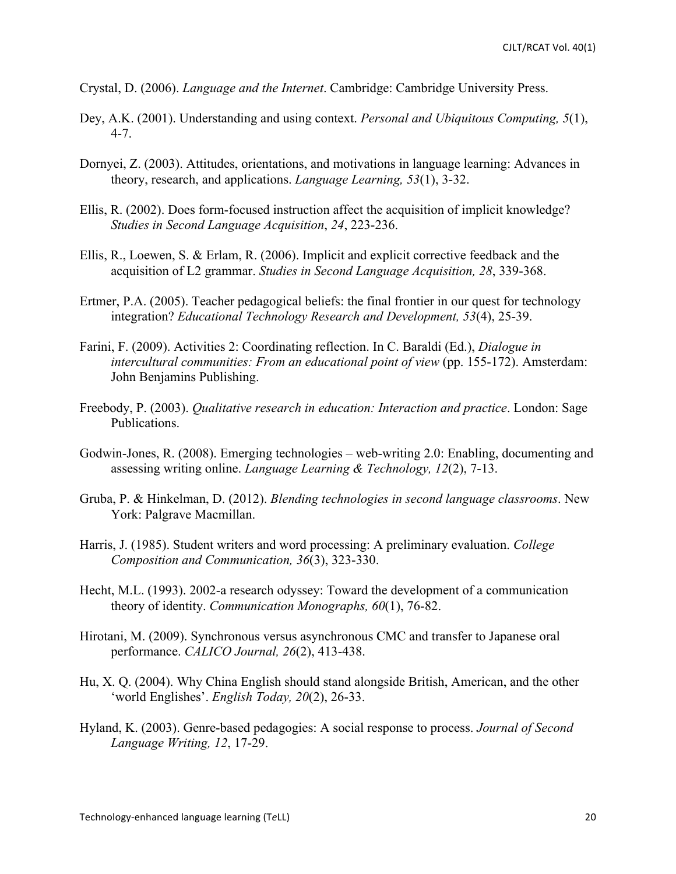Crystal, D. (2006). *Language and the Internet*. Cambridge: Cambridge University Press.

- Dey, A.K. (2001). Understanding and using context. *Personal and Ubiquitous Computing, 5*(1), 4-7.
- Dornyei, Z. (2003). Attitudes, orientations, and motivations in language learning: Advances in theory, research, and applications. *Language Learning, 53*(1), 3-32.
- Ellis, R. (2002). Does form-focused instruction affect the acquisition of implicit knowledge? *Studies in Second Language Acquisition*, *24*, 223-236.
- Ellis, R., Loewen, S. & Erlam, R. (2006). Implicit and explicit corrective feedback and the acquisition of L2 grammar. *Studies in Second Language Acquisition, 28*, 339-368.
- Ertmer, P.A. (2005). Teacher pedagogical beliefs: the final frontier in our quest for technology integration? *Educational Technology Research and Development, 53*(4), 25-39.
- Farini, F. (2009). Activities 2: Coordinating reflection. In C. Baraldi (Ed.), *Dialogue in intercultural communities: From an educational point of view (pp. 155-172). Amsterdam:* John Benjamins Publishing.
- Freebody, P. (2003). *Qualitative research in education: Interaction and practice*. London: Sage Publications.
- Godwin-Jones, R. (2008). Emerging technologies web-writing 2.0: Enabling, documenting and assessing writing online. *Language Learning & Technology, 12*(2), 7-13.
- Gruba, P. & Hinkelman, D. (2012). *Blending technologies in second language classrooms*. New York: Palgrave Macmillan.
- Harris, J. (1985). Student writers and word processing: A preliminary evaluation. *College Composition and Communication, 36*(3), 323-330.
- Hecht, M.L. (1993). 2002-a research odyssey: Toward the development of a communication theory of identity. *Communication Monographs, 60*(1), 76-82.
- Hirotani, M. (2009). Synchronous versus asynchronous CMC and transfer to Japanese oral performance. *CALICO Journal, 26*(2), 413-438.
- Hu, X. Q. (2004). Why China English should stand alongside British, American, and the other 'world Englishes'. *English Today, 20*(2), 26-33.
- Hyland, K. (2003). Genre-based pedagogies: A social response to process. *Journal of Second Language Writing, 12*, 17-29.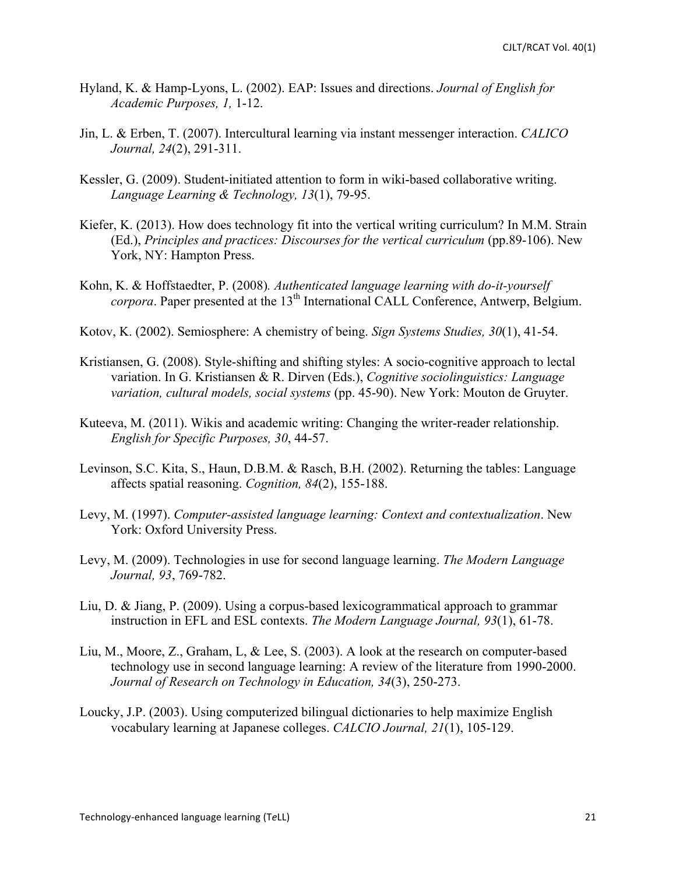- Hyland, K. & Hamp-Lyons, L. (2002). EAP: Issues and directions. *Journal of English for Academic Purposes, 1,* 1-12.
- Jin, L. & Erben, T. (2007). Intercultural learning via instant messenger interaction. *CALICO Journal, 24*(2), 291-311.
- Kessler, G. (2009). Student-initiated attention to form in wiki-based collaborative writing. *Language Learning & Technology, 13*(1), 79-95.
- Kiefer, K. (2013). How does technology fit into the vertical writing curriculum? In M.M. Strain (Ed.), *Principles and practices: Discourses for the vertical curriculum* (pp.89-106). New York, NY: Hampton Press.
- Kohn, K. & Hoffstaedter, P. (2008)*. Authenticated language learning with do-it-yourself corpora*. Paper presented at the 13<sup>th</sup> International CALL Conference, Antwerp, Belgium.
- Kotov, K. (2002). Semiosphere: A chemistry of being. *Sign Systems Studies, 30*(1), 41-54.
- Kristiansen, G. (2008). Style-shifting and shifting styles: A socio-cognitive approach to lectal variation. In G. Kristiansen & R. Dirven (Eds.), *Cognitive sociolinguistics: Language variation, cultural models, social systems* (pp. 45-90). New York: Mouton de Gruyter.
- Kuteeva, M. (2011). Wikis and academic writing: Changing the writer-reader relationship. *English for Specific Purposes, 30*, 44-57.
- Levinson, S.C. Kita, S., Haun, D.B.M. & Rasch, B.H. (2002). Returning the tables: Language affects spatial reasoning. *Cognition, 84*(2), 155-188.
- Levy, M. (1997). *Computer-assisted language learning: Context and contextualization*. New York: Oxford University Press.
- Levy, M. (2009). Technologies in use for second language learning. *The Modern Language Journal, 93*, 769-782.
- Liu, D. & Jiang, P. (2009). Using a corpus-based lexicogrammatical approach to grammar instruction in EFL and ESL contexts. *The Modern Language Journal, 93*(1), 61-78.
- Liu, M., Moore, Z., Graham, L, & Lee, S. (2003). A look at the research on computer-based technology use in second language learning: A review of the literature from 1990-2000. *Journal of Research on Technology in Education, 34*(3), 250-273.
- Loucky, J.P. (2003). Using computerized bilingual dictionaries to help maximize English vocabulary learning at Japanese colleges. *CALCIO Journal, 21*(1), 105-129.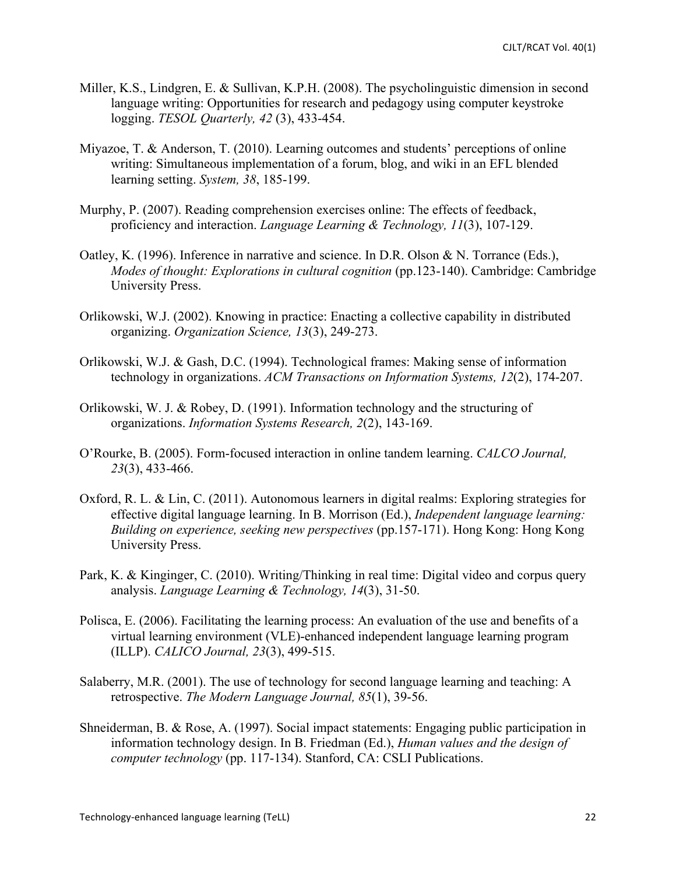- Miller, K.S., Lindgren, E. & Sullivan, K.P.H. (2008). The psycholinguistic dimension in second language writing: Opportunities for research and pedagogy using computer keystroke logging. *TESOL Quarterly, 42* (3), 433-454.
- Miyazoe, T. & Anderson, T. (2010). Learning outcomes and students' perceptions of online writing: Simultaneous implementation of a forum, blog, and wiki in an EFL blended learning setting. *System, 38*, 185-199.
- Murphy, P. (2007). Reading comprehension exercises online: The effects of feedback, proficiency and interaction. *Language Learning & Technology, 11*(3), 107-129.
- Oatley, K. (1996). Inference in narrative and science. In D.R. Olson & N. Torrance (Eds.), *Modes of thought: Explorations in cultural cognition* (pp.123-140). Cambridge: Cambridge University Press.
- Orlikowski, W.J. (2002). Knowing in practice: Enacting a collective capability in distributed organizing. *Organization Science, 13*(3), 249-273.
- Orlikowski, W.J. & Gash, D.C. (1994). Technological frames: Making sense of information technology in organizations. *ACM Transactions on Information Systems, 12*(2), 174-207.
- Orlikowski, W. J. & Robey, D. (1991). Information technology and the structuring of organizations. *Information Systems Research, 2*(2), 143-169.
- O'Rourke, B. (2005). Form-focused interaction in online tandem learning. *CALCO Journal, 23*(3), 433-466.
- Oxford, R. L. & Lin, C. (2011). Autonomous learners in digital realms: Exploring strategies for effective digital language learning. In B. Morrison (Ed.), *Independent language learning: Building on experience, seeking new perspectives* (pp.157-171). Hong Kong: Hong Kong University Press.
- Park, K. & Kinginger, C. (2010). Writing/Thinking in real time: Digital video and corpus query analysis. *Language Learning & Technology, 14*(3), 31-50.
- Polisca, E. (2006). Facilitating the learning process: An evaluation of the use and benefits of a virtual learning environment (VLE)-enhanced independent language learning program (ILLP). *CALICO Journal, 23*(3), 499-515.
- Salaberry, M.R. (2001). The use of technology for second language learning and teaching: A retrospective. *The Modern Language Journal, 85*(1), 39-56.
- Shneiderman, B. & Rose, A. (1997). Social impact statements: Engaging public participation in information technology design. In B. Friedman (Ed.), *Human values and the design of computer technology* (pp. 117-134). Stanford, CA: CSLI Publications.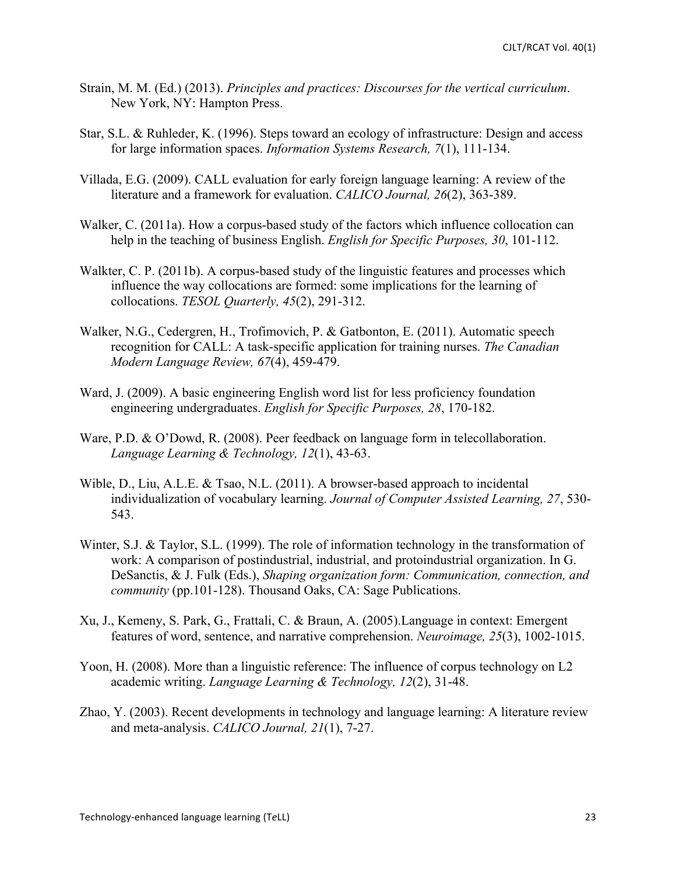- Strain, M. M. (Ed.) (2013). *Principles and practices: Discourses for the vertical curriculum*. New York, NY: Hampton Press.
- Star, S.L. & Ruhleder, K. (1996). Steps toward an ecology of infrastructure: Design and access for large information spaces. *Information Systems Research, 7*(1), 111-134.
- Villada, E.G. (2009). CALL evaluation for early foreign language learning: A review of the literature and a framework for evaluation. *CALICO Journal, 26*(2), 363-389.
- Walker, C. (2011a). How a corpus-based study of the factors which influence collocation can help in the teaching of business English. *English for Specific Purposes, 30*, 101-112.
- Walkter, C. P. (2011b). A corpus-based study of the linguistic features and processes which influence the way collocations are formed: some implications for the learning of collocations. *TESOL Quarterly, 45*(2), 291-312.
- Walker, N.G., Cedergren, H., Trofimovich, P. & Gatbonton, E. (2011). Automatic speech recognition for CALL: A task-specific application for training nurses. *The Canadian Modern Language Review, 67*(4), 459-479.
- Ward, J. (2009). A basic engineering English word list for less proficiency foundation engineering undergraduates. *English for Specific Purposes, 28*, 170-182.
- Ware, P.D. & O'Dowd, R. (2008). Peer feedback on language form in telecollaboration. *Language Learning & Technology, 12*(1), 43-63.
- Wible, D., Liu, A.L.E. & Tsao, N.L. (2011). A browser-based approach to incidental individualization of vocabulary learning. *Journal of Computer Assisted Learning, 27*, 530- 543.
- Winter, S.J. & Taylor, S.L. (1999). The role of information technology in the transformation of work: A comparison of postindustrial, industrial, and protoindustrial organization. In G. DeSanctis, & J. Fulk (Eds.), *Shaping organization form: Communication, connection, and community* (pp.101-128). Thousand Oaks, CA: Sage Publications.
- Xu, J., Kemeny, S. Park, G., Frattali, C. & Braun, A. (2005).Language in context: Emergent features of word, sentence, and narrative comprehension. *Neuroimage, 25*(3), 1002-1015.
- Yoon, H. (2008). More than a linguistic reference: The influence of corpus technology on L2 academic writing. *Language Learning & Technology, 12*(2), 31-48.
- Zhao, Y. (2003). Recent developments in technology and language learning: A literature review and meta-analysis. *CALICO Journal, 21*(1), 7-27.